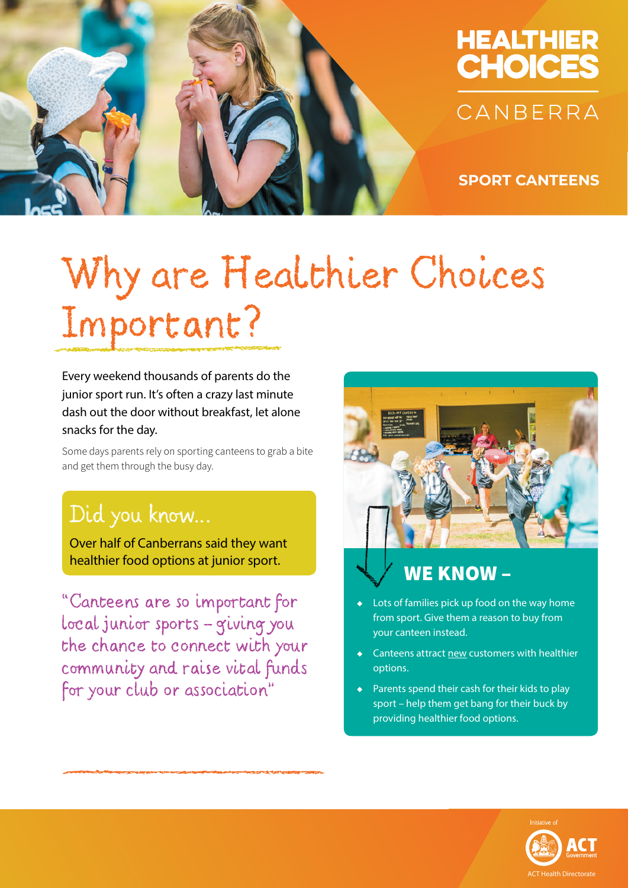

## **HEALTHIER CHOICES** CANBERRA

**SPORT CANTEENS**

# Why are Healthier Choices Important?

Every weekend thousands of parents do the junior sport run. It's often a crazy last minute dash out the door without breakfast, let alone snacks for the day.

Some days parents rely on sporting canteens to grab a bite and get them through the busy day.

### Did you know…

Over half of Canberrans said they want healthier food options at junior sport.

"Canteens are so important for local junior sports - giving you the chance to connect with your community and raise vital funds for your club or association"



#### WE KNOW –

- Lots of families pick up food on the way home from sport. Give them a reason to buy from your canteen instead.
- Canteens attract new customers with healthier options.
- Parents spend their cash for their kids to play sport – help them get bang for their buck by providing healthier food options.